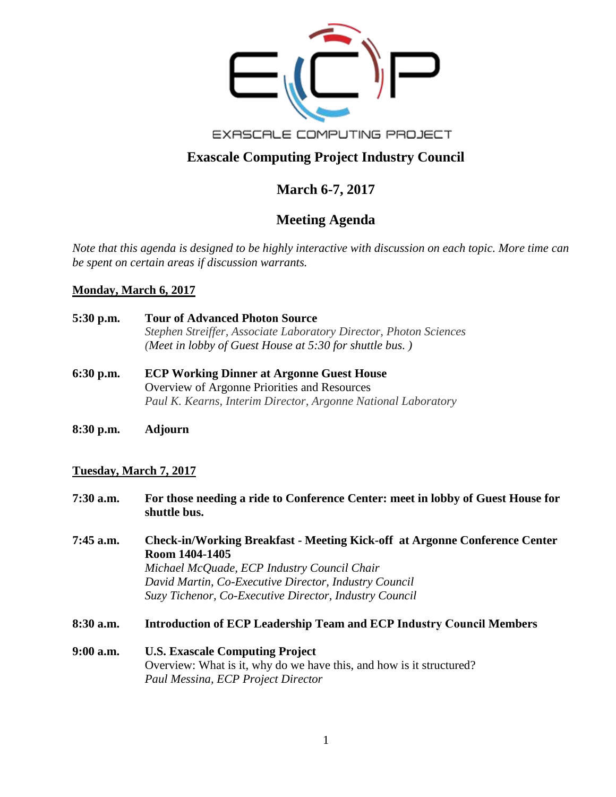

EXASCALE COMPUTING PROJECT

# **Exascale Computing Project Industry Council**

## **March 6-7, 2017**

# **Meeting Agenda**

*Note that this agenda is designed to be highly interactive with discussion on each topic. More time can be spent on certain areas if discussion warrants.* 

### **Monday, March 6, 2017**

- **5:30 p.m. Tour of Advanced Photon Source** *Stephen Streiffer, Associate Laboratory Director, Photon Sciences (Meet in lobby of Guest House at 5:30 for shuttle bus. )*
- **6:30 p.m. ECP Working Dinner at Argonne Guest House**  Overview of Argonne Priorities and Resources *Paul K. Kearns, Interim Director, Argonne National Laboratory*
- **8:30 p.m. Adjourn**

### **Tuesday, March 7, 2017**

- **7:30 a.m. For those needing a ride to Conference Center: meet in lobby of Guest House for shuttle bus.**
- **7:45 a.m. Check-in/Working Breakfast - Meeting Kick-off at Argonne Conference Center Room 1404-1405**  *Michael McQuade, ECP Industry Council Chair David Martin, Co-Executive Director, Industry Council Suzy Tichenor, Co-Executive Director, Industry Council*
- **8:30 a.m. Introduction of ECP Leadership Team and ECP Industry Council Members**
- **9:00 a.m. U.S. Exascale Computing Project**  Overview: What is it, why do we have this, and how is it structured? *Paul Messina, ECP Project Director*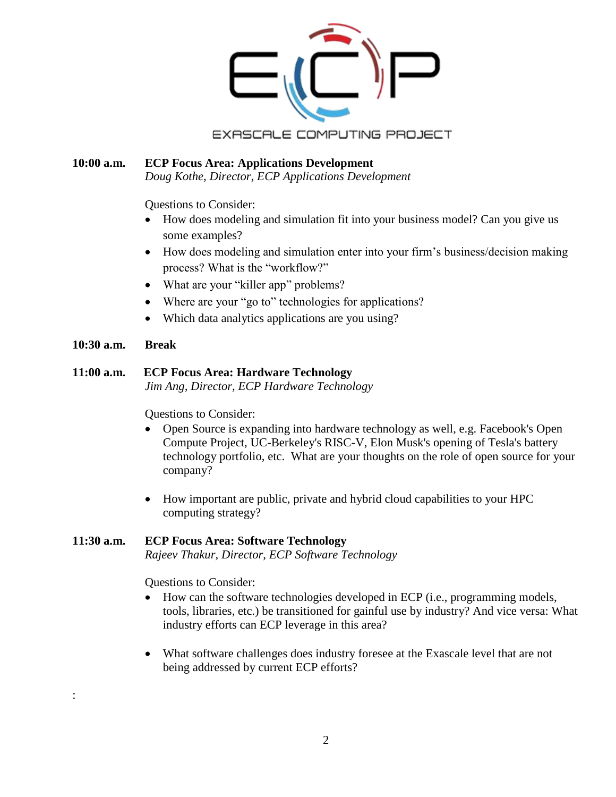

#### **10:00 a.m. ECP Focus Area: Applications Development** *Doug Kothe, Director, ECP Applications Development*

Questions to Consider:

- How does modeling and simulation fit into your business model? Can you give us some examples?
- How does modeling and simulation enter into your firm's business/decision making process? What is the "workflow?"
- What are your "killer app" problems?
- Where are your "go to" technologies for applications?
- Which data analytics applications are you using?
- **10:30 a.m. Break**

:

### **11:00 a.m. ECP Focus Area: Hardware Technology**

*Jim Ang, Director, ECP Hardware Technology* 

Questions to Consider:

- Open Source is expanding into hardware technology as well, e.g. Facebook's Open Compute Project, UC-Berkeley's RISC-V, Elon Musk's opening of Tesla's battery technology portfolio, etc. What are your thoughts on the role of open source for your company?
- How important are public, private and hybrid cloud capabilities to your HPC computing strategy?

### **11:30 a.m. ECP Focus Area: Software Technology**

*Rajeev Thakur, Director, ECP Software Technology* 

Questions to Consider:

- How can the software technologies developed in ECP (i.e., programming models, tools, libraries, etc.) be transitioned for gainful use by industry? And vice versa: What industry efforts can ECP leverage in this area?
- What software challenges does industry foresee at the Exascale level that are not being addressed by current ECP efforts?